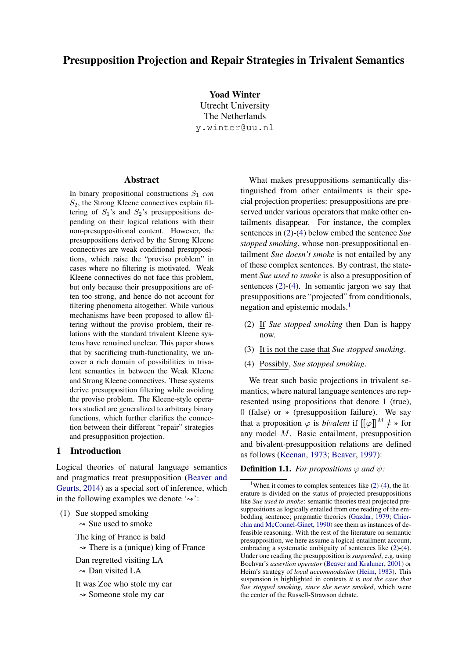## Presupposition Projection and Repair Strategies in Trivalent Semantics

Yoad Winter Utrecht University The Netherlands y.winter@uu.nl

#### Abstract

In binary propositional constructions  $S_1$  *con*  $S_2$ , the Strong Kleene connectives explain filtering of  $S_1$ 's and  $S_2$ 's presuppositions depending on their logical relations with their non-presuppositional content. However, the presuppositions derived by the Strong Kleene connectives are weak conditional presuppositions, which raise the "proviso problem" in cases where no filtering is motivated. Weak Kleene connectives do not face this problem, but only because their presuppositions are often too strong, and hence do not account for filtering phenomena altogether. While various mechanisms have been proposed to allow filtering without the proviso problem, their relations with the standard trivalent Kleene systems have remained unclear. This paper shows that by sacrificing truth-functionality, we uncover a rich domain of possibilities in trivalent semantics in between the Weak Kleene and Strong Kleene connectives. These systems derive presupposition filtering while avoiding the proviso problem. The Kleene-style operators studied are generalized to arbitrary binary functions, which further clarifies the connection between their different "repair" strategies and presupposition projection.

### <span id="page-0-3"></span>1 Introduction

Logical theories of natural language semantics and pragmatics treat presupposition [\(Beaver and](#page-12-0) [Geurts,](#page-12-0) [2014\)](#page-12-0) as a special sort of inference, which in the following examples we denote  $\sim$ :

(1) Sue stopped smoking

 $\sim$  Sue used to smoke

The king of France is bald

 $\rightarrow$  There is a (unique) king of France

Dan regretted visiting LA  $\sim$  Dan visited LA

It was Zoe who stole my car

 $\sim$  Someone stole my car

What makes presuppositions semantically distinguished from other entailments is their special projection properties: presuppositions are preserved under various operators that make other entailments disappear. For instance, the complex sentences in [\(2\)](#page-0-0)-[\(4\)](#page-0-1) below embed the sentence *Sue stopped smoking*, whose non-presuppositional entailment *Sue doesn't smoke* is not entailed by any of these complex sentences. By contrast, the statement *Sue used to smoke* is also a presupposition of sentences [\(2\)](#page-0-0)-[\(4\)](#page-0-1). In semantic jargon we say that presuppositions are "projected" from conditionals, negation and epistemic modals.<sup>[1](#page-0-2)</sup>

- <span id="page-0-0"></span>(2) If *Sue stopped smoking* then Dan is happy now.
- (3) It is not the case that *Sue stopped smoking*.
- <span id="page-0-1"></span>(4) Possibly, *Sue stopped smoking*.

We treat such basic projections in trivalent semantics, where natural language sentences are represented using propositions that denote 1 (true), 0 (false) or  $*$  (presupposition failure). We say that a proposition  $\varphi$  is *bivalent* if  $[\![\varphi]\!]^M \neq \infty$  for any model M. Basic entailment, presupposition and bivalent-presupposition relations are defined as follows [\(Keenan,](#page-12-1) [1973;](#page-12-1) [Beaver,](#page-12-2) [1997\)](#page-12-2):

<span id="page-0-4"></span>**Definition 1.1.** *For propositions*  $\varphi$  *and*  $\psi$ *:* 

<span id="page-0-2"></span><sup>&</sup>lt;sup>1</sup>When it comes to complex sentences like  $(2)-(4)$  $(2)-(4)$  $(2)-(4)$ , the literature is divided on the status of projected presuppositions like *Sue used to smoke*: semantic theories treat projected presuppositions as logically entailed from one reading of the embedding sentence; pragmatic theories [\(Gazdar,](#page-12-3) [1979;](#page-12-3) [Chier](#page-12-4)[chia and McConnel-Ginet,](#page-12-4) [1990\)](#page-12-4) see them as instances of defeasible reasoning. With the rest of the literature on semantic presupposition, we here assume a logical entailment account, embracing a systematic ambiguity of sentences like [\(2\)](#page-0-0)-[\(4\)](#page-0-1). Under one reading the presupposition is *suspended*, e.g. using Bochvar's *assertion operator* [\(Beaver and Krahmer,](#page-12-5) [2001\)](#page-12-5) or Heim's strategy of *local accommodation* [\(Heim,](#page-12-6) [1983\)](#page-12-6). This suspension is highlighted in contexts *it is not the case that Sue stopped smoking, since she never smoked*, which were the center of the Russell-Strawson debate.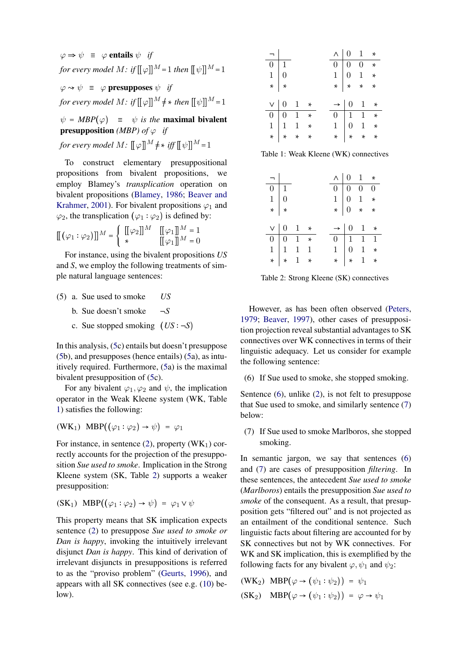$\varphi \Rightarrow \psi \equiv \varphi$  entails  $\psi$  *if for every model M*: *if*  $\llbracket \phi \rrbracket^M = 1$  *then*  $\llbracket \psi \rrbracket^M = 1$  $\varphi \rightarrow \psi \equiv \varphi$  presupposes  $\psi$  *if for every model*  $M:$  *if*  $\llbracket \varphi \rrbracket^M \neq *$  *then*  $\llbracket \psi \rrbracket^M = 1$ 

 $\psi = MBP(\varphi) = \psi$  *is the maximal bivalent* **presupposition** *(MBP)* of  $\varphi$  *if* 

*for every model*  $M$ :  $\llbracket \varphi \rrbracket^M \neq * \text{ iff } \llbracket \psi \rrbracket^M = 1$ 

To construct elementary presuppositional propositions from bivalent propositions, we employ Blamey's *transplication* operation on bivalent propositions [\(Blamey,](#page-12-7) [1986;](#page-12-7) [Beaver and](#page-12-5) [Krahmer,](#page-12-5) [2001\)](#page-12-5). For bivalent propositions  $\varphi_1$  and  $\varphi_2$ , the transplication  $(\varphi_1 : \varphi_2)$  is defined by:

$$
\begin{bmatrix} [(\varphi_1:\varphi_2)] \end{bmatrix}^M = \begin{cases} [[\varphi_2]]^M & [[\varphi_1]]^M = 1 \\ * & [[\varphi_1]]^M = 0 \end{cases}
$$

For instance, using the bivalent propositions *US* and *S*, we employ the following treatments of simple natural language sentences:

- <span id="page-1-0"></span>(5) a. Sue used to smoke *US*
	- b. Sue doesn't smoke  $\neg S$
	- c. Sue stopped smoking  $(US: -S)$

In this analysis, [\(5c](#page-1-0)) entails but doesn't presuppose [\(5b](#page-1-0)), and presupposes (hence entails) [\(5a](#page-1-0)), as intuitively required. Furthermore, [\(5a](#page-1-0)) is the maximal bivalent presupposition of [\(5c](#page-1-0)).

For any bivalent  $\varphi_1, \varphi_2$  and  $\psi$ , the implication operator in the Weak Kleene system (WK, Table [1\)](#page-1-1) satisfies the following:

$$
(WK_1) \quad MBP((\varphi_1 : \varphi_2) \to \psi) = \varphi_1
$$

For instance, in sentence  $(2)$ , property  $(WK_1)$  correctly accounts for the projection of the presupposition *Sue used to smoke*. Implication in the Strong Kleene system (SK, Table [2\)](#page-1-2) supports a weaker presupposition:

$$
(SK1) \text{ MBP}((\varphi_1 : \varphi_2) \to \psi) = \varphi_1 \lor \psi
$$

This property means that SK implication expects sentence [\(2\)](#page-0-0) to presuppose *Sue used to smoke or Dan is happy*, invoking the intuitively irrelevant disjunct *Dan is happy*. This kind of derivation of irrelevant disjuncts in presuppositions is referred to as the "proviso problem" [\(Geurts,](#page-12-8) [1996\)](#page-12-8), and appears with all SK connectives (see e.g. [\(10\)](#page-2-0) below).

<span id="page-1-1"></span>

| $\begin{array}{c c}\n\hline\n- & 0 & 1 \\ 0 & 1 & 0 \\ \ast & \ast\n\end{array}$                                         |  |  | $\wedge$ 0 1 *                                                                                                        |  |
|--------------------------------------------------------------------------------------------------------------------------|--|--|-----------------------------------------------------------------------------------------------------------------------|--|
|                                                                                                                          |  |  |                                                                                                                       |  |
|                                                                                                                          |  |  | $\begin{array}{c cccc} 0 & 0 & 0 & * \\ 1 & 0 & 1 & * \\ * & * & * & * \end{array}$                                   |  |
|                                                                                                                          |  |  |                                                                                                                       |  |
|                                                                                                                          |  |  |                                                                                                                       |  |
|                                                                                                                          |  |  |                                                                                                                       |  |
|                                                                                                                          |  |  |                                                                                                                       |  |
|                                                                                                                          |  |  |                                                                                                                       |  |
| $\begin{array}{c ccccc}\n\vee & 0 & 1 & * \\ \hline\n0 & 0 & 1 & * \\ 1 & 1 & 1 & * \\ \star & * & * & * \\ \end{array}$ |  |  | $\begin{array}{c cccc} \rightarrow & 0 & 1 & * \\ \hline 0 & 1 & 1 & * \\ 1 & 0 & 1 & * \\ * & * & * & * \end{array}$ |  |

Table 1: Weak Kleene (WK) connectives

<span id="page-1-2"></span>

| $\begin{array}{c c}\n\hline\n- & 0 & 1 \\ \hline\n0 & 1 & 0 \\ \hline\n\ast & \ast\n\end{array}$                            |  |  | $\wedge$ 0 1 *                                                                                                        |  |
|-----------------------------------------------------------------------------------------------------------------------------|--|--|-----------------------------------------------------------------------------------------------------------------------|--|
|                                                                                                                             |  |  | $\begin{array}{c cccc} 0 & 0 & 0 & 0 \\ 1 & 0 & 1 & * \\ * & 0 & * & * \end{array}$                                   |  |
|                                                                                                                             |  |  |                                                                                                                       |  |
|                                                                                                                             |  |  |                                                                                                                       |  |
|                                                                                                                             |  |  |                                                                                                                       |  |
|                                                                                                                             |  |  |                                                                                                                       |  |
| $v \mid 0 \quad 1 \quad *$                                                                                                  |  |  |                                                                                                                       |  |
|                                                                                                                             |  |  |                                                                                                                       |  |
| $\begin{array}{c cccc}\n\cdot & 0 & 0 & 1 & * \\ \hline\n0 & 0 & 1 & * \\ 1 & 1 & 1 & 1 \\ \ast & * & 1 & * \\ \end{array}$ |  |  | $\begin{array}{c cccc} \rightarrow & 0 & 1 & * \\ \hline 0 & 1 & 1 & 1 \\ 1 & 0 & 1 & * \\ * & * & 1 & * \end{array}$ |  |

Table 2: Strong Kleene (SK) connectives

However, as has been often observed [\(Peters,](#page-12-9) [1979;](#page-12-9) [Beaver,](#page-12-2) [1997\)](#page-12-2), other cases of presupposition projection reveal substantial advantages to SK connectives over WK connectives in terms of their linguistic adequacy. Let us consider for example the following sentence:

<span id="page-1-3"></span>(6) If Sue used to smoke, she stopped smoking.

Sentence [\(6\)](#page-1-3), unlike [\(2\)](#page-0-0), is not felt to presuppose that Sue used to smoke, and similarly sentence [\(7\)](#page-1-4) below:

<span id="page-1-4"></span>(7) If Sue used to smoke Marlboros, she stopped smoking.

In semantic jargon, we say that sentences [\(6\)](#page-1-3) and [\(7\)](#page-1-4) are cases of presupposition *filtering*. In these sentences, the antecedent *Sue used to smoke* (*Marlboros*) entails the presupposition *Sue used to smoke* of the consequent. As a result, that presupposition gets "filtered out" and is not projected as an entailment of the conditional sentence. Such linguistic facts about filtering are accounted for by SK connectives but not by WK connectives. For WK and SK implication, this is exemplified by the following facts for any bivalent  $\varphi, \psi_1$  and  $\psi_2$ :

$$
\begin{aligned} \text{(WK}_2) \quad \text{MBP}(\varphi \to (\psi_1 : \psi_2)) &= \psi_1 \\ \text{(SK}_2) \quad \text{MBP}(\varphi \to (\psi_1 : \psi_2)) &= \varphi \to \psi_1 \end{aligned}
$$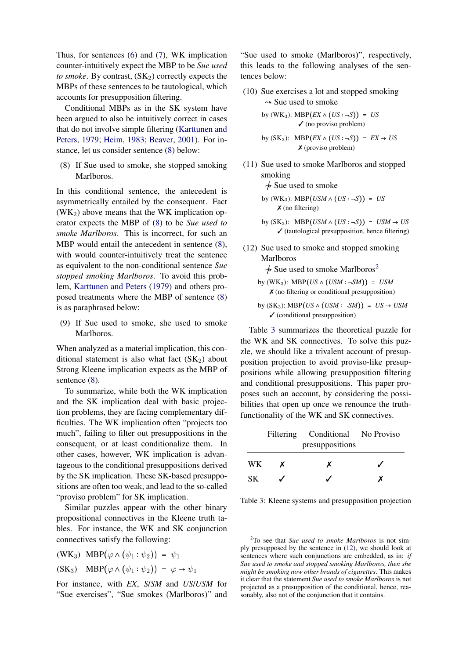Thus, for sentences [\(6\)](#page-1-3) and [\(7\)](#page-1-4), WK implication counter-intuitively expect the MBP to be *Sue used to smoke*. By contrast,  $(SK_2)$  correctly expects the MBPs of these sentences to be tautological, which accounts for presupposition filtering.

Conditional MBPs as in the SK system have been argued to also be intuitively correct in cases that do not involve simple filtering [\(Karttunen and](#page-12-10) [Peters,](#page-12-10) [1979;](#page-12-10) [Heim,](#page-12-6) [1983;](#page-12-6) [Beaver,](#page-12-11) [2001\)](#page-12-11). For instance, let us consider sentence [\(8\)](#page-2-1) below:

<span id="page-2-1"></span>(8) If Sue used to smoke, she stopped smoking Marlboros.

In this conditional sentence, the antecedent is asymmetrically entailed by the consequent. Fact  $(WK_2)$  above means that the WK implication operator expects the MBP of [\(8\)](#page-2-1) to be *Sue used to smoke Marlboros*. This is incorrect, for such an MBP would entail the antecedent in sentence  $(8)$ , with would counter-intuitively treat the sentence as equivalent to the non-conditional sentence *Sue stopped smoking Marlboros*. To avoid this problem, [Karttunen and Peters](#page-12-10) [\(1979\)](#page-12-10) and others proposed treatments where the MBP of sentence [\(8\)](#page-2-1) is as paraphrased below:

(9) If Sue used to smoke, she used to smoke Marlboros.

When analyzed as a material implication, this conditional statement is also what fact  $(SK_2)$  about Strong Kleene implication expects as the MBP of sentence  $(8)$ .

To summarize, while both the WK implication and the SK implication deal with basic projection problems, they are facing complementary difficulties. The WK implication often "projects too much", failing to filter out presuppositions in the consequent, or at least conditionalize them. In other cases, however, WK implication is advantageous to the conditional presuppositions derived by the SK implication. These SK-based presuppositions are often too weak, and lead to the so-called "proviso problem" for SK implication.

Similar puzzles appear with the other binary propositional connectives in the Kleene truth tables. For instance, the WK and SK conjunction connectives satisfy the following:

(WK<sub>3</sub>) MBP( $\varphi \wedge (\psi_1 : \psi_2)$ ) =  $\psi_1$  $(SK_3) \quad MBP(\varphi \wedge (\psi_1 : \psi_2)) = \varphi \rightarrow \psi_1$ 

For instance, with *EX*, *S*/*SM* and *US*/*USM* for "Sue exercises", "Sue smokes (Marlboros)" and "Sue used to smoke (Marlboros)", respectively, this leads to the following analyses of the sentences below:

<span id="page-2-0"></span>(10) Sue exercises a lot and stopped smoking  $\sim$  Sue used to smoke

by (WK<sub>3</sub>): MBP
$$
(EX \land (US : \neg S)) = US
$$
  
  $\checkmark$  (no proviso problem)

by (SK<sub>3</sub>): MBP
$$
(EX \land (US : \neg S)) = EX \rightarrow US
$$
  
**X** (proviso problem)

<span id="page-2-5"></span>(11) Sue used to smoke Marlboros and stopped smoking

 $\frac{1}{2}$  Sue used to smoke

by (WK<sub>3</sub>): MBP(
$$
USM \wedge (US : \neg S
$$
)) = US  
**X** (no filtering)

- by  $(SK_3)$ : MBP $(USM \wedge (US : \neg S)) = USM \rightarrow US$  $\checkmark$  (tautological presupposition, hence filtering)
- <span id="page-2-4"></span>(12) Sue used to smoke and stopped smoking Marlboros

 $\frac{1}{2}$  $\frac{1}{2}$  $\frac{1}{2}$  Sue used to smoke Marlboros<sup>2</sup>

- by (WK<sub>3</sub>): MBP(*US*  $\land$  (*USM* :  $\neg SM$ )) = *USM*  $\boldsymbol{\chi}$  (no filtering or conditional presupposition)
- by  $(SK_3)$ : MBP $(US \wedge (USM : \neg SM)) = US \rightarrow USM$ ✓ (conditional presupposition)

Table [3](#page-2-3) summarizes the theoretical puzzle for the WK and SK connectives. To solve this puzzle, we should like a trivalent account of presupposition projection to avoid proviso-like presuppositions while allowing presupposition filtering and conditional presuppositions. This paper proposes such an account, by considering the possibilities that open up once we renounce the truthfunctionality of the WK and SK connectives.

<span id="page-2-3"></span>

|     |   | Filtering Conditional No Proviso |  |
|-----|---|----------------------------------|--|
|     |   | presuppositions                  |  |
| WK. | X | x                                |  |
| SK. |   |                                  |  |

Table 3: Kleene systems and presupposition projection

<span id="page-2-2"></span><sup>2</sup>To see that *Sue used to smoke Marlboros* is not simply presupposed by the sentence in [\(12\)](#page-2-4), we should look at sentences where such conjunctions are embedded, as in: *if Sue used to smoke and stopped smoking Marlboros, then she might be smoking now other brands of cigarettes*. This makes it clear that the statement *Sue used to smoke Marlboros* is not projected as a presupposition of the conditional, hence, reasonably, also not of the conjunction that it contains.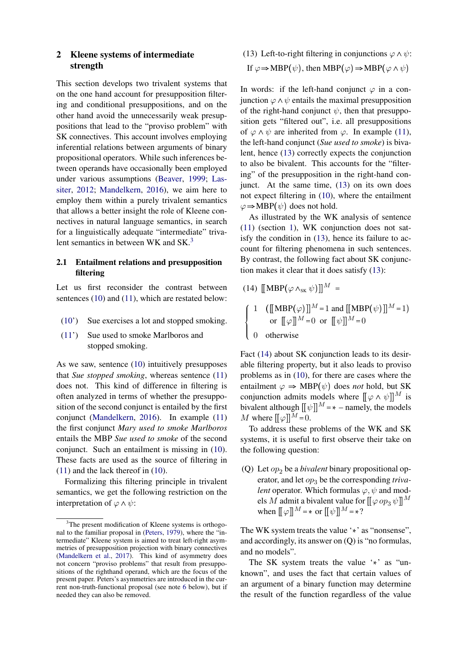## <span id="page-3-3"></span>2 Kleene systems of intermediate strength

This section develops two trivalent systems that on the one hand account for presupposition filtering and conditional presuppositions, and on the other hand avoid the unnecessarily weak presuppositions that lead to the "proviso problem" with SK connectives. This account involves employing inferential relations between arguments of binary propositional operators. While such inferences between operands have occasionally been employed under various assumptions [\(Beaver,](#page-12-12) [1999;](#page-12-12) [Las](#page-12-13)[siter,](#page-12-13) [2012;](#page-12-13) [Mandelkern,](#page-12-14) [2016\)](#page-12-14), we aim here to employ them within a purely trivalent semantics that allows a better insight the role of Kleene connectives in natural language semantics, in search for a linguistically adequate "intermediate" triva-lent semantics in between WK and SK.<sup>[3](#page-3-0)</sup>

### 2.1 Entailment relations and presupposition filtering

Let us first reconsider the contrast between sentences [\(10\)](#page-2-0) and [\(11\)](#page-2-5), which are restated below:

- [\(10'](#page-2-0)) Sue exercises a lot and stopped smoking.
- [\(11'](#page-2-5)) Sue used to smoke Marlboros and stopped smoking.

As we saw, sentence [\(10\)](#page-2-0) intuitively presupposes that *Sue stopped smoking*, whereas sentence [\(11\)](#page-2-5) does not. This kind of difference in filtering is often analyzed in terms of whether the presupposition of the second conjunct is entailed by the first conjunct [\(Mandelkern,](#page-12-14) [2016\)](#page-12-14). In example [\(11\)](#page-2-5) the first conjunct *Mary used to smoke Marlboros* entails the MBP *Sue used to smoke* of the second conjunct. Such an entailment is missing in [\(10\)](#page-2-0). These facts are used as the source of filtering in [\(11\)](#page-2-5) and the lack thereof in [\(10\)](#page-2-0).

Formalizing this filtering principle in trivalent semantics, we get the following restriction on the interpretation of  $\varphi \wedge \psi$ :

<span id="page-3-1"></span>(13) Left-to-right filtering in conjunctions  $\varphi \wedge \psi$ : If  $\varphi \Rightarrow \text{MBP}(\psi)$ , then  $\text{MBP}(\varphi) \Rightarrow \text{MBP}(\varphi \land \psi)$ 

In words: if the left-hand conjunct  $\varphi$  in a conjunction  $\varphi \wedge \psi$  entails the maximal presupposition of the right-hand conjunct  $\psi$ , then that presupposition gets "filtered out", i.e. all presuppositions of  $\varphi \wedge \psi$  are inherited from  $\varphi$ . In example [\(11\)](#page-2-5), the left-hand conjunct (*Sue used to smoke*) is bivalent, hence [\(13\)](#page-3-1) correctly expects the conjunction to also be bivalent. This accounts for the "filtering" of the presupposition in the right-hand conjunct. At the same time, [\(13\)](#page-3-1) on its own does not expect filtering in [\(10\)](#page-2-0), where the entailment  $\varphi \Rightarrow \text{MBP}(\psi)$  does not hold.

As illustrated by the WK analysis of sentence [\(11\)](#page-2-5) (section [1\)](#page-0-3), WK conjunction does not satisfy the condition in [\(13\)](#page-3-1), hence its failure to account for filtering phenomena in such sentences. By contrast, the following fact about SK conjunction makes it clear that it does satisfy [\(13\)](#page-3-1):

<span id="page-3-2"></span>(14) 
$$
[[MBP(\varphi \wedge_{SK} \psi)]]^{M} =
$$

$$
\begin{cases} 1 & ([[MBP(\varphi)]]^{M} = 1 \text{ and } [[MBP(\psi)]]^{M} = 1) \\ \text{or } [[\varphi]]^{M} = 0 \text{ or } [[\psi]]^{M} = 0 \\ 0 & \text{otherwise} \end{cases}
$$

Fact [\(14\)](#page-3-2) about SK conjunction leads to its desirable filtering property, but it also leads to proviso problems as in [\(10\)](#page-2-0), for there are cases where the entailment  $\varphi \Rightarrow \text{MBP}(\psi)$  does *not* hold, but SK conjunction admits models where  $\llbracket \varphi \wedge \psi \rrbracket^M$  is bivalent although  $[ [\psi]]^M = * -$  namely, the models M where  $[[\varphi]]^M = 0$ .

To address these problems of the WK and SK systems, it is useful to first observe their take on the following question:

(Q) Let  $op_2$  be a *bivalent* binary propositional operator, and let  $op_3$  be the corresponding *trivalent* operator. Which formulas  $\varphi, \psi$  and models M admit a bivalent value for  $\llbracket \varphi \, op_3 \, \psi \rrbracket^M$ when  $[[\varphi]]^M = \ast$  or  $[[\psi]]^M = \ast$ ?

The WK system treats the value  $\cdot$  as "nonsense", and accordingly, its answer on (Q) is "no formulas, and no models".

The SK system treats the value  $'$  as "unknown", and uses the fact that certain values of an argument of a binary function may determine the result of the function regardless of the value

<span id="page-3-0"></span><sup>&</sup>lt;sup>3</sup>The present modification of Kleene systems is orthogonal to the familiar proposal in [\(Peters,](#page-12-9) [1979\)](#page-12-9), where the "intermediate" Kleene system is aimed to treat left-right asymmetries of presupposition projection with binary connectives [\(Mandelkern et al.,](#page-12-15) [2017\)](#page-12-15). This kind of asymmetry does not concern "proviso problems" that result from presuppositions of the righthand operand, which are the focus of the present paper. Peters's asymmetries are introduced in the current non-truth-functional proposal (see note [6](#page-4-0) below), but if needed they can also be removed.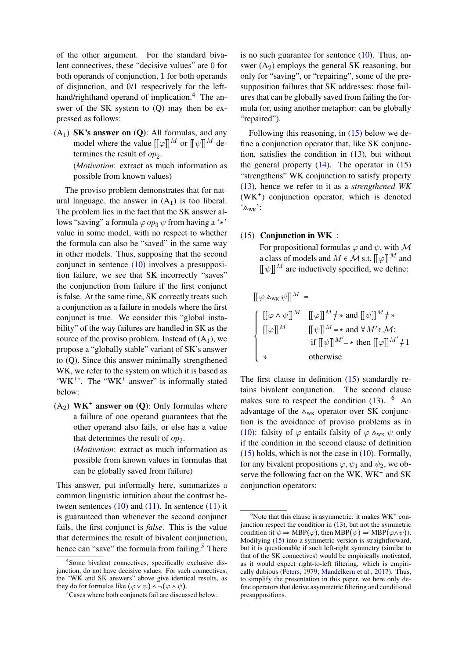of the other argument. For the standard bivalent connectives, these "decisive values" are 0 for both operands of conjunction, 1 for both operands of disjunction, and 0/1 respectively for the left-hand/righthand operand of implication.<sup>[4](#page-4-1)</sup> The answer of the SK system to (Q) may then be expressed as follows:

 $(A_1)$  **SK's answer on (Q)**: All formulas, and any model where the value  $[[\varphi]]^M$  or  $[[\psi]]^M$  determines the result of  $op_2$ .

> (*Motivation*: extract as much information as possible from known values)

The proviso problem demonstrates that for natural language, the answer in  $(A_1)$  is too liberal. The problem lies in the fact that the SK answer allows "saving" a formula  $\varphi op_3 \psi$  from having a '\*' value in some model, with no respect to whether the formula can also be "saved" in the same way in other models. Thus, supposing that the second conjunct in sentence [\(10\)](#page-2-0) involves a presupposition failure, we see that SK incorrectly "saves" the conjunction from failure if the first conjunct is false. At the same time, SK correctly treats such a conjunction as a failure in models where the first conjunct is true. We consider this "global instability" of the way failures are handled in SK as the source of the proviso problem. Instead of  $(A_1)$ , we propose a "globally stable" variant of SK's answer to (Q). Since this answer minimally strengthened WK, we refer to the system on which it is based as 'WK<sup>+</sup>'. The "WK<sup>+</sup> answer" is informally stated below:

 $(A_2)$  WK<sup>+</sup> answer on (Q): Only formulas where a failure of one operand guarantees that the other operand also fails, or else has a value that determines the result of  $op_2$ .

> (*Motivation*: extract as much information as possible from known values in formulas that can be globally saved from failure)

This answer, put informally here, summarizes a common linguistic intuition about the contrast between sentences  $(10)$  and  $(11)$ . In sentence  $(11)$  it is guaranteed than whenever the second conjunct fails, the first conjunct is *false*. This is the value that determines the result of bivalent conjunction, hence can "save" the formula from failing. $5$  There is no such guarantee for sentence [\(10\)](#page-2-0). Thus, answer  $(A_2)$  employs the general SK reasoning, but only for "saving", or "repairing", some of the presupposition failures that SK addresses: those failures that can be globally saved from failing the formula (or, using another metaphor: can be globally "repaired").

Following this reasoning, in [\(15\)](#page-4-3) below we define a conjunction operator that, like SK conjunction, satisfies the condition in [\(13\)](#page-3-1), but without the general property [\(14\)](#page-3-2). The operator in [\(15\)](#page-4-3) "strengthens" WK conjunction to satisfy property [\(13\)](#page-3-1), hence we refer to it as a *strengthened WK* (WK ) conjunction operator, which is denoted  $\cdot_{\mathsf{w}\mathsf{w}}$ :

## <span id="page-4-3"></span>(15) Conjunction in  $\mathbf{W}\mathbf{K}^+$ :

For propositional formulas  $\varphi$  and  $\psi$ , with M a class of models and  $M \in \mathcal{M}$  s.t.  $[[\varphi]]^M$  and  $[[\psi]]^M$  are inductively specified, we define:

$$
[[\varphi \wedge_{\text{wk}} \psi]]^M =
$$
\n
$$
\begin{cases}\n[[\varphi \wedge \psi]]^M & [[\varphi]]^M \neq * \text{ and } [[\psi]]^M \neq * \\
[[\varphi]]^M & [[\psi]]^M = * \text{ and } \forall M' \in \mathcal{M}: \\
& \text{if } [[\psi]]^{M'} = * \text{ then } [[\varphi]]^{M'} \neq 1 \\
& \text{otherwise}\n\end{cases}
$$

The first clause in definition [\(15\)](#page-4-3) standardly retains bivalent conjunction. The second clause makes sure to respect the condition  $(13)$ . <sup>[6](#page-4-0)</sup> An advantage of the  $A_{\text{WK}}$  operator over SK conjunction is the avoidance of proviso problems as in [\(10\)](#page-2-0): falsity of  $\varphi$  entails falsity of  $\varphi \wedge_{\text{wK}} \psi$  only if the condition in the second clause of definition [\(15\)](#page-4-3) holds, which is not the case in [\(10\)](#page-2-0). Formally, for any bivalent propositions  $\varphi, \psi_1$  and  $\psi_2$ , we observe the following fact on the WK,  $\overline{W}$  and SK conjunction operators:

<span id="page-4-1"></span><sup>4</sup> Some bivalent connectives, specifically exclusive disjunction, do not have decisive values. For such connectives, the "WK and SK answers" above give identical results, as they do for formulas like  $(\varphi \lor \psi) \land \neg (\varphi \land \psi)$ .

<span id="page-4-2"></span><sup>5</sup>Cases where both conjuncts fail are discussed below.

<span id="page-4-0"></span> $6$ Note that this clause is asymmetric: it makes  $\text{WK}^+$  conjunction respect the condition in [\(13\)](#page-3-1), but not the symmetric condition (if  $\psi \Rightarrow \text{MBP}(\varphi)$ , then  $\text{MBP}(\psi) \Rightarrow \text{MBP}(\varphi \land \psi)$ ). Modifying [\(15\)](#page-4-3) into a symmetric version is straightforward, but it is questionable if such left-right symmetry (similar to that of the SK connectives) would be empirically motivated, as it would expect right-to-left filtering, which is empirically dubious [\(Peters,](#page-12-9) [1979;](#page-12-9) [Mandelkern et al.,](#page-12-15) [2017\)](#page-12-15). Thus, to simplify the presentation in this paper, we here only define operators that derive asymmetric filtering and conditional presuppositions.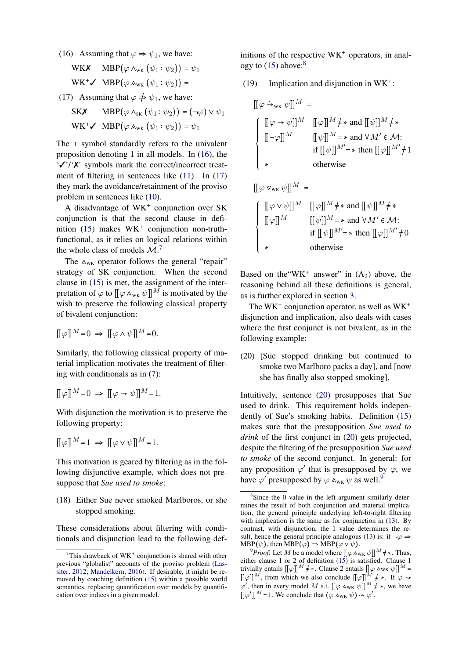<span id="page-5-0"></span>(16) Assuming that  $\varphi \Rightarrow \psi_1$ , we have:

WK $\boldsymbol{X}$  MBP $(\varphi \wedge_{\text{wK}} (\psi_1 : \psi_2)) = \psi_1$  $\text{WK}^+ \checkmark \quad \text{MBP}(\varphi \land_{\text{wK}} (\psi_1 : \psi_2)) = \top$ 

- <span id="page-5-1"></span>(17) Assuming that  $\varphi \neq \psi_1$ , we have:
- **SKX** MBP $(\varphi \wedge_{SK} (\psi_1 : \psi_2)) = (\neg \varphi) \vee \psi_1$  $WK^+ \checkmark$  MBP( $\varphi$   $\wedge_{wK} (\psi_1 : \psi_2)$ ) =  $\psi_1$

The  $\top$  symbol standardly refers to the univalent proposition denoting 1 in all models. In [\(16\)](#page-5-0), the '✓'/'✗' symbols mark the correct/incorrect treat-ment of filtering in sentences like [\(11\)](#page-2-5). In [\(17\)](#page-5-1) they mark the avoidance/retainment of the proviso problem in sentences like [\(10\)](#page-2-0).

A disadvantage of WK<sup>+</sup> conjunction over SK conjunction is that the second clause in defi-nition [\(15\)](#page-4-3) makes WK<sup>+</sup> conjunction non-truthfunctional, as it relies on logical relations within the whole class of models  $\mathcal{M}$ .<sup>[7](#page-5-2)</sup>

The  $A_{\text{WK}}$  operator follows the general "repair" strategy of SK conjunction. When the second clause in [\(15\)](#page-4-3) is met, the assignment of the interpretation of  $\varphi$  to  $\left[\left[\varphi \wedge_{\text{wK}} \psi\right]\right]^M$  is motivated by the wish to preserve the following classical property of bivalent conjunction:

$$
[[\varphi]]^M\!=\!0\;\Rightarrow\; [[\varphi\wedge\psi]]^M\!=\!0.
$$

Similarly, the following classical property of material implication motivates the treatment of filtering with conditionals as in [\(7\)](#page-1-4):

$$
[[\varphi]]^M\!=\!0\;\Rightarrow\;[[\varphi\rightarrow\psi]]^M\!=\!1.
$$

With disjunction the motivation is to preserve the following property:

$$
[[\varphi]]^M\!=\!1\;\Rightarrow\; [[\varphi\vee\psi]]^M\!=\!1.
$$

This motivation is geared by filtering as in the following disjunctive example, which does not presuppose that *Sue used to smoke*:

(18) Either Sue never smoked Marlboros, or she stopped smoking.

These considerations about filtering with conditionals and disjunction lead to the following definitions of the respective  $WK<sup>+</sup>$  operators, in analogy to  $(15)$  above:<sup>[8](#page-5-3)</sup>

<span id="page-5-6"></span>(19) Implication and disjunction in  $WK^+$ :

$$
[[\varphi \rightarrow_{\text{wk}} \psi]]^M =
$$
\n
$$
\begin{cases}\n[[\varphi \rightarrow \psi]]^M & [[\varphi]]^M \neq \ast \text{ and } [[\psi]]^M \neq \ast \\
[[\neg \varphi]]^M & [[\psi]]^M = \ast \text{ and } \forall M' \in \mathcal{M}:\n\text{ if } [[\psi]]^{M'} = \ast \text{ then } [[\varphi]]^{M'} \neq 1 \\
\ast & \text{otherwise}\n\end{cases}
$$

$$
\begin{cases}\n[[\varphi \vee \psi]]^M & [[\varphi]]^M \neq * \text{ and } [[\psi]]^M \neq * \\
[[\varphi]]^M & [[\psi]]^M = * \text{ and } \forall M' \in \mathcal{M}:\n\end{cases}
$$
\n
$$
\begin{cases}\n[[\varphi]]^M & [[\psi]]^M = * \text{ then } [[\varphi]]^M \neq 0 \\
\ast & \text{otherwise}\n\end{cases}
$$

 $\mathbb{E}[\cos \theta - \psi] \mathbb{E}[M] =$ 

Based on the "WK<sup>+</sup> answer" in  $(A_2)$  above, the reasoning behind all these definitions is general, as is further explored in section [3.](#page-8-0)

The WK<sup>+</sup> conjunction operator, as well as  $WK^+$ disjunction and implication, also deals with cases where the first conjunct is not bivalent, as in the following example:

<span id="page-5-4"></span>(20) [Sue stopped drinking but continued to smoke two Marlboro packs a day], and [now she has finally also stopped smoking].

Intuitively, sentence [\(20\)](#page-5-4) presupposes that Sue used to drink. This requirement holds independently of Sue's smoking habits. Definition [\(15\)](#page-4-3) makes sure that the presupposition *Sue used to drink* of the first conjunct in [\(20\)](#page-5-4) gets projected, despite the filtering of the presupposition *Sue used to smoke* of the second conjunct. In general: for any proposition  $\varphi'$  that is presupposed by  $\varphi$ , we have  $\varphi'$  presupposed by  $\varphi \wedge_{wK} \psi$  as well.<sup>[9](#page-5-5)</sup>

<span id="page-5-2"></span><sup>&</sup>lt;sup>7</sup>This drawback of  $WK^+$  conjunction is shared with other previous "globalist" accounts of the proviso problem [\(Las](#page-12-13)[siter,](#page-12-13) [2012;](#page-12-13) [Mandelkern,](#page-12-14) [2016\)](#page-12-14). If desirable, it might be removed by couching definition [\(15\)](#page-4-3) within a possible world semantics, replacing quantification over models by quantification over indices in a given model.

<span id="page-5-3"></span><sup>8</sup> Since the 0 value in the left argument similarly determines the result of both conjunction and material implication, the general principle underlying left-to-right filtering with implication is the same as for conjunction in [\(13\)](#page-3-1). By contrast, with disjunction, the 1 value determines the re-sult, hence the general principle analogous [\(13\)](#page-3-1) is: if  $\neg \varphi \Rightarrow$  $MBP(\psi)$ , then  $MBP(\varphi) \Rightarrow MBP(\varphi \vee \psi)$ .

<span id="page-5-5"></span><sup>&</sup>lt;sup>9</sup>*Proof*: Let *M* be a model where  $\left[\left(\varphi \wedge_{\text{WK}} \psi\right)\right]^M \neq *$ . Thus, either clause 1 or 2 of definition [\(15\)](#page-4-3) is satisfied. Clause 1 trivially entails  $[[\varphi]]^M \neq *$ . Clause 2 entails  $[[\varphi \wedge \mathsf{w}\mathsf{K} \psi]]^M =$ This equal that  $\llbracket \varphi \rrbracket^M$ , from which we also conclude  $\llbracket \varphi \rrbracket^M \neq \infty$ . If  $\varphi \rightarrow$  $\begin{bmatrix} \psi \end{bmatrix}$ , from which we also conclude  $\begin{bmatrix} \psi \end{bmatrix}^N \neq \infty$ , then in every model M s.t.  $\begin{bmatrix} \varphi \end{bmatrix} \sim \mathbb{W} \mathbb{W} \psi$ , we have  $\varphi$ , then in every model M s.t.  $[\varphi \wedge_{\text{wK}} \psi]]$ <br> $[\varphi']^{M} = 1$ . We conclude that  $(\varphi \wedge_{\text{wK}} \psi) \rightarrow \varphi'$ .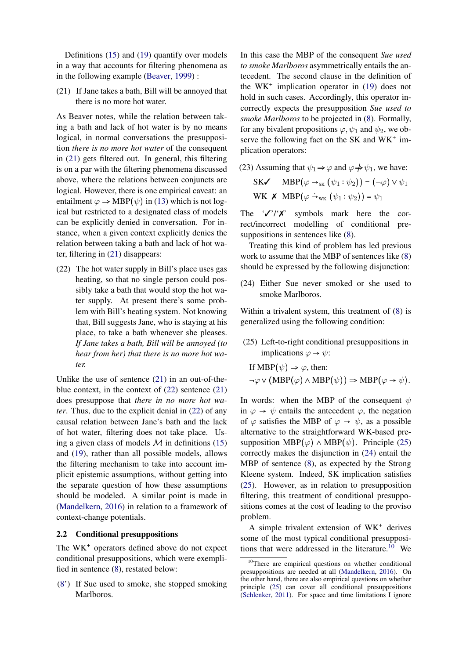Definitions [\(15\)](#page-4-3) and [\(19\)](#page-5-6) quantify over models in a way that accounts for filtering phenomena as in the following example [\(Beaver,](#page-12-12) [1999\)](#page-12-12) :

<span id="page-6-0"></span>(21) If Jane takes a bath, Bill will be annoyed that there is no more hot water.

As Beaver notes, while the relation between taking a bath and lack of hot water is by no means logical, in normal conversations the presupposition *there is no more hot water* of the consequent in [\(21\)](#page-6-0) gets filtered out. In general, this filtering is on a par with the filtering phenomena discussed above, where the relations between conjuncts are logical. However, there is one empirical caveat: an entailment  $\varphi \Rightarrow \text{MBP}(\psi)$  in [\(13\)](#page-3-1) which is not logical but restricted to a designated class of models can be explicitly denied in conversation. For instance, when a given context explicitly denies the relation between taking a bath and lack of hot water, filtering in [\(21\)](#page-6-0) disappears:

<span id="page-6-1"></span>(22) The hot water supply in Bill's place uses gas heating, so that no single person could possibly take a bath that would stop the hot water supply. At present there's some problem with Bill's heating system. Not knowing that, Bill suggests Jane, who is staying at his place, to take a bath whenever she pleases. *If Jane takes a bath, Bill will be annoyed (to hear from her) that there is no more hot water.*

Unlike the use of sentence [\(21\)](#page-6-0) in an out-of-theblue context, in the context of [\(22\)](#page-6-1) sentence [\(21\)](#page-6-0) does presuppose that *there in no more hot water*. Thus, due to the explicit denial in [\(22\)](#page-6-1) of any causal relation between Jane's bath and the lack of hot water, filtering does not take place. Using a given class of models  $M$  in definitions [\(15\)](#page-4-3) and [\(19\)](#page-5-6), rather than all possible models, allows the filtering mechanism to take into account implicit epistemic assumptions, without getting into the separate question of how these assumptions should be modeled. A similar point is made in [\(Mandelkern,](#page-12-14) [2016\)](#page-12-14) in relation to a framework of context-change potentials.

### 2.2 Conditional presuppositions

The WK<sup>+</sup> operators defined above do not expect conditional presuppositions, which were exemplified in sentence [\(8\)](#page-2-1), restated below:

[\(8'](#page-2-1)) If Sue used to smoke, she stopped smoking Marlboros.

In this case the MBP of the consequent *Sue used to smoke Marlboros* asymmetrically entails the antecedent. The second clause in the definition of the  $WK^+$  implication operator in [\(19\)](#page-5-6) does not hold in such cases. Accordingly, this operator incorrectly expects the presupposition *Sue used to smoke Marlboros* to be projected in [\(8\)](#page-2-1). Formally, for any bivalent propositions  $\varphi, \psi_1$  and  $\psi_2$ , we observe the following fact on the SK and  $WK^+$  implication operators:

<span id="page-6-5"></span>(23) Assuming that  $\psi_1 \Rightarrow \varphi$  and  $\varphi \neq \psi_1$ , we have: SK $\checkmark$  MBP $(\varphi \rightarrow_{\text{SK}} (\psi_1 : \psi_2)) = (\neg \varphi) \vee \psi_1$  $\text{WK}^+ \textbf{\textit{X}} \text{ MBP}(\varphi \rightarrow_{\text{wK}} (\psi_1 : \psi_2)) = \psi_1$ 

The  $\sqrt{\prime}$ ' $\chi$ ' symbols mark here the correct/incorrect modelling of conditional presuppositions in sentences like [\(8\)](#page-2-1).

Treating this kind of problem has led previous work to assume that the MBP of sentences like [\(8\)](#page-2-1) should be expressed by the following disjunction:

<span id="page-6-3"></span>(24) Either Sue never smoked or she used to smoke Marlboros.

Within a trivalent system, this treatment of [\(8\)](#page-2-1) is generalized using the following condition:

<span id="page-6-2"></span>(25) Left-to-right conditional presuppositions in implications  $\varphi \to \psi$ :

If MBP(
$$
\psi
$$
)  $\Rightarrow \varphi$ , then:  
\n $\neg \varphi \lor (MBP(\varphi) \land MBP(\psi)) \Rightarrow MBP(\varphi \to \psi)$ .

In words: when the MBP of the consequent  $\psi$ in  $\varphi \rightarrow \psi$  entails the antecedent  $\varphi$ , the negation of  $\varphi$  satisfies the MBP of  $\varphi \to \psi$ , as a possible alternative to the straightforward WK-based presupposition MBP $(\varphi) \wedge \text{MBP}(\psi)$ . Principle [\(25\)](#page-6-2) correctly makes the disjunction in [\(24\)](#page-6-3) entail the MBP of sentence [\(8\)](#page-2-1), as expected by the Strong Kleene system. Indeed, SK implication satisfies [\(25\)](#page-6-2). However, as in relation to presupposition filtering, this treatment of conditional presuppositions comes at the cost of leading to the proviso problem.

A simple trivalent extension of WK derives some of the most typical conditional presupposi-tions that were addressed in the literature.<sup>[10](#page-6-4)</sup> We

<span id="page-6-4"></span><sup>10</sup>There are empirical questions on whether conditional presuppositions are needed at all [\(Mandelkern,](#page-12-14) [2016\)](#page-12-14). On the other hand, there are also empirical questions on whether principle [\(25\)](#page-6-2) can cover all conditional presuppositions [\(Schlenker,](#page-12-16) [2011\)](#page-12-16). For space and time limitations I ignore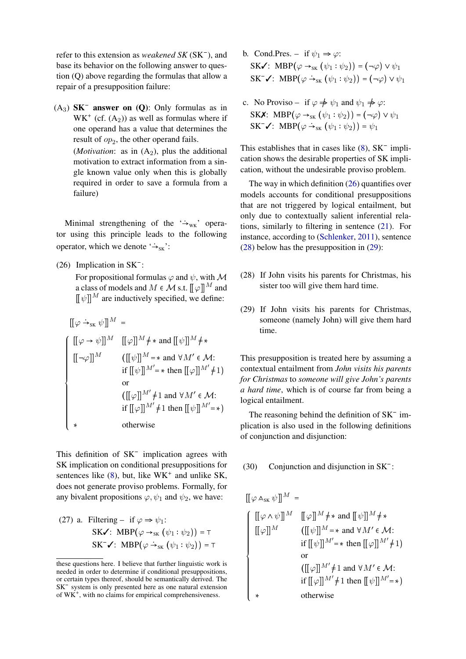refer to this extension as *weakened SK* (SK ), and base its behavior on the following answer to question (Q) above regarding the formulas that allow a repair of a presupposition failure:

 $(A_3)$  **SK<sup>-</sup>** answer on  $(Q)$ : Only formulas as in  $WK^+$  (cf.  $(A_2)$ ) as well as formulas where if one operand has a value that determines the result of  $op_2$ , the other operand fails. (*Motivation*: as in  $(A_2)$ , plus the additional motivation to extract information from a single known value only when this is globally required in order to save a formula from a failure)

Minimal strengthening of the  $\rightarrow$ <sub>WK</sub>' operator using this principle leads to the following operator, which we denote  $\rightarrow_{\rm SK}$ :

<span id="page-7-0"></span>(26) Implication in  $SK^-$ :

For propositional formulas  $\varphi$  and  $\psi$ , with M a class of models and  $M \in \mathcal{M}$  s.t.  $[\![\varphi]\!]^M$  and  $\mathbb{I} \psi \mathbb{I}^M$  are inductively specified, we define:

$$
[[\varphi \rightarrow_{\text{SK}} \psi]]^{M} =
$$
\n
$$
[[\varphi \rightarrow \psi]]^{M} [[\varphi]]^{M} \neq \ast \text{ and } [[\psi]]^{M} \neq \ast
$$
\n
$$
[[\neg \varphi]]^{M} ([[\psi]]^{M} = \ast \text{ and } \forall M' \in \mathcal{M}:
$$
\n
$$
\text{if } [[\psi]]^{M'} = \ast \text{ then } [[\varphi]]^{M'} \neq 1 \text{)}
$$
\n
$$
\text{or}
$$
\n
$$
([\varphi]]^{M'} \neq 1 \text{ and } \forall M' \in \mathcal{M}:
$$
\n
$$
\text{if } [[\varphi]]^{M'} \neq 1 \text{ then } [[\psi]]^{M'} = \ast)
$$
\n
$$
\ast \text{otherwise}
$$

This definition of SK<sup>-</sup> implication agrees with SK implication on conditional presuppositions for sentences like  $(8)$ , but, like WK<sup>+</sup> and unlike SK, does not generate proviso problems. Formally, for any bivalent propositions  $\varphi, \psi_1$  and  $\psi_2$ , we have:

<span id="page-7-3"></span>(27) a. Filtering – if 
$$
\varphi \Rightarrow \psi_1
$$
:  
\nSK $\checkmark$ : MBP( $\varphi \rightarrow_{SK} (\psi_1 : \psi_2)$ ) = T  
\nSK $\checkmark$ : MBP( $\varphi \rightarrow_{SK} (\psi_1 : \psi_2)$ ) = T

- b. Cond.Pres. if  $\psi_1 \Rightarrow \varphi$ : SK $\checkmark$ : MBP $(\varphi \rightarrow_{SK} (\psi_1 : \psi_2)) = (\neg \varphi) \vee \psi_1$  $\mathbf{SK}^- \blacktriangleleft$ :  $\mathbf{MBP}(\varphi \rightarrow_{\mathbf{SK}} (\psi_1 : \psi_2)) = (\neg \varphi) \vee \psi_1$
- c. No Proviso if  $\varphi \neq \psi_1$  and  $\psi_1 \neq \varphi$ : SKX: MBP $(\varphi \rightarrow_{SK} (\psi_1 : \psi_2)) = (\neg \varphi) \vee \psi_1$  $SK^ \checkmark$ :  $MBP(\varphi \rightarrow_{SK} (\psi_1 : \psi_2)) = \psi_1$

This establishes that in cases like  $(8)$ ,  $SK^-$  implication shows the desirable properties of SK implication, without the undesirable proviso problem.

The way in which definition [\(26\)](#page-7-0) quantifies over models accounts for conditional presuppositions that are not triggered by logical entailment, but only due to contextually salient inferential relations, similarly to filtering in sentence [\(21\)](#page-6-0). For instance, according to [\(Schlenker,](#page-12-16) [2011\)](#page-12-16), sentence [\(28\)](#page-7-1) below has the presupposition in [\(29\)](#page-7-2):

- <span id="page-7-1"></span>(28) If John visits his parents for Christmas, his sister too will give them hard time.
- <span id="page-7-2"></span>(29) If John visits his parents for Christmas, someone (namely John) will give them hard time.

This presupposition is treated here by assuming a contextual entailment from *John visits his parents for Christmas* to *someone will give John's parents a hard time*, which is of course far from being a logical entailment.

The reasoning behind the definition of SK<sup>-</sup> implication is also used in the following definitions of conjunction and disjunction:

# (30) Conjunction and disjunction in SK :

$$
[[\varphi \wedge_{SK} \psi]]^{M} =
$$
\n
$$
[[\varphi \wedge \psi]]^{M} [[\varphi]]^{M} \neq * \text{ and } [[\psi]]^{M} \neq *
$$
\n
$$
[[\varphi]]^{M} ([[\psi]]^{M} = * \text{ and } \forall M' \in \mathcal{M}:
$$
\n
$$
\text{if } [[\psi]]^{M'} = * \text{ then } [[\varphi]]^{M'} \neq 1)
$$
\n
$$
\text{or } [[\varphi]]^{M'} \neq 1 \text{ and } \forall M' \in \mathcal{M}:
$$
\n
$$
\text{if } [[\varphi]]^{M'} \neq 1 \text{ then } [[\psi]]^{M'} = *)
$$
\n
$$
\text{otherwise}
$$

these questions here. I believe that further linguistic work is needed in order to determine if conditional presuppositions. or certain types thereof, should be semantically derived. The SK<sup>-</sup> system is only presented here as one natural extension of  $WK^+$ , with no claims for empirical comprehensiveness.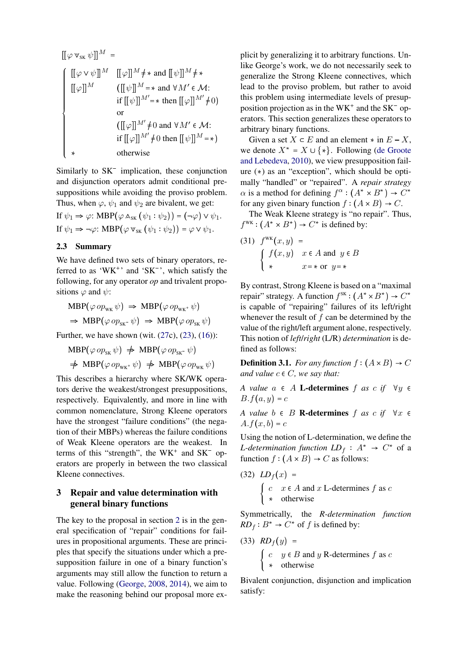$$
[[\varphi \vee_{SK} \psi]]^{M} =
$$
\n
$$
[[\varphi \vee \psi]]^{M} [[\varphi]]^{M} \neq * \text{ and } [[\psi]]^{M} \neq *
$$
\n
$$
[[\varphi]]^{M} ([[\psi]]^{M} = * \text{ and } \forall M' \in \mathcal{M}:
$$
\n
$$
\text{if } [[\psi]]^{M'} = * \text{ then } [[\varphi]]^{M'} \neq 0)
$$
\n
$$
\text{or}
$$
\n
$$
([[\varphi]]^{M'} \neq 0 \text{ and } \forall M' \in \mathcal{M}:
$$
\n
$$
\text{if } [[\varphi]]^{M'} \neq 0 \text{ then } [[\psi]]^{M} = *)
$$
\n
$$
* \text{otherwise}
$$

Similarly to SK<sup>-</sup> implication, these conjunction and disjunction operators admit conditional presuppositions while avoiding the proviso problem. Thus, when  $\varphi$ ,  $\psi_1$  and  $\psi_2$  are bivalent, we get:

If  $\psi_1 \Rightarrow \varphi$ : MBP( $\varphi \wedge_{SK} (\psi_1 : \psi_2)$ ) = ( $\neg \varphi$ )  $\vee \psi_1$ . If  $\psi_1 \Rightarrow \neg \varphi$ : MBP $(\varphi \vee_{sk} (\psi_1 : \psi_2)) = \varphi \vee \psi_1$ .

## 2.3 Summary

We have defined two sets of binary operators, referred to as 'WK<sup>+</sup>' and 'SK<sup>-</sup>', which satisfy the following, for any operator *op* and trivalent propositions  $\varphi$  and  $\psi$ :

$$
MBP(\varphi op_{wK} \psi) \Rightarrow MBP(\varphi op_{wK^+} \psi)
$$
  

$$
\Rightarrow MBP(\varphi op_{SK^-} \psi) \Rightarrow MBP(\varphi op_{SK} \psi)
$$

Further, we have shown (wit.  $(27c)$  $(27c)$ ,  $(23)$ ,  $(16)$ ):

 $MBP(\varphi op_{\rm SK} \psi) \Rightarrow MBP(\varphi op_{\rm SK} \psi)$  $\Rightarrow$  MBP( $\varphi$  op<sub>wK</sub>  $\psi$ )  $\Rightarrow$  MBP( $\varphi$  op<sub>wK</sub>  $\psi$ )

This describes a hierarchy where SK/WK operators derive the weakest/strongest presuppositions, respectively. Equivalently, and more in line with common nomenclature, Strong Kleene operators have the strongest "failure conditions" (the negation of their MBPs) whereas the failure conditions of Weak Kleene operators are the weakest. In terms of this "strength", the  $WK^+$  and  $SK^-$  operators are properly in between the two classical Kleene connectives.

## <span id="page-8-0"></span>3 Repair and value determination with general binary functions

The key to the proposal in section [2](#page-3-3) is in the general specification of "repair" conditions for failures in propositional arguments. These are principles that specify the situations under which a presupposition failure in one of a binary function's arguments may still allow the function to return a value. Following [\(George,](#page-12-17) [2008,](#page-12-17) [2014\)](#page-12-18), we aim to make the reasoning behind our proposal more explicit by generalizing it to arbitrary functions. Unlike George's work, we do not necessarily seek to generalize the Strong Kleene connectives, which lead to the proviso problem, but rather to avoid this problem using intermediate levels of presupposition projection as in the  $WK^+$  and the  $SK^-$  operators. This section generalizes these operators to arbitrary binary functions.

Given a set  $X \subset E$  and an element  $*$  in  $E - X$ , we denote  $X^* = X \cup \{*\}$ . Following [\(de Groote](#page-12-19) [and Lebedeva,](#page-12-19) [2010\)](#page-12-19), we view presupposition failure  $(*)$  as an "exception", which should be optimally "handled" or "repaired". A *repair strategy*  $\alpha$  is a method for defining  $f^{\alpha} : (A^* \times B^*) \to C^*$ for any given binary function  $f : (A \times B) \to C$ .

The Weak Kleene strategy is "no repair". Thus,  $f^{WK}: (A^* \times B^*) \rightarrow C^*$  is defined by:

<span id="page-8-1"></span>(31) 
$$
f^{wk}(x, y) =
$$
  
\n
$$
\begin{cases}\nf(x, y) & x \in A \text{ and } y \in B \\
\star & x = \star \text{ or } y = \star\n\end{cases}
$$

By contrast, Strong Kleene is based on a "maximal repair" strategy. A function  $f^{SK} : (A^* \times B^*) \to C^*$ is capable of "repairing" failures of its left/right whenever the result of  $f$  can be determined by the value of the right/left argument alone, respectively. This notion of *left*/*right* (L/R) *determination* is defined as follows:

**Definition 3.1.** For any function  $f : (A \times B) \rightarrow C$ *and value*  $c \in C$ *, we say that:* 

*A value*  $a \in A$  **L-determines**  $f$  *as*  $c$  *if*  $\forall y \in A$  $B.f(a, y) = c$ 

*A value*  $b \in B$  **R-determines**  $f$  *as*  $c$  *if*  $\forall x \in$  $A.f(x, b) = c$ 

Using the notion of L-determination, we define the *L*-determination function  $LD_f : A^* \rightarrow C^*$  of a function  $f : (A \times B) \rightarrow C$  as follows:

(32) 
$$
LD_f(x) =
$$
  
\n
$$
\begin{cases}\nc & x \in A \text{ and } x \text{ L-determines } f \text{ as } c \\
\ast & \text{otherwise}\n\end{cases}
$$

Symmetrically, the *R-determination function*  $RD_f : B^* \rightarrow C^*$  of f is defined by:

(33) 
$$
RD_f(y) =
$$
  
\n
$$
\begin{cases}\nc & y \in B \text{ and } y \text{ R-determines } f \text{ as } c \\
\ast & \text{otherwise}\n\end{cases}
$$

Bivalent conjunction, disjunction and implication satisfy: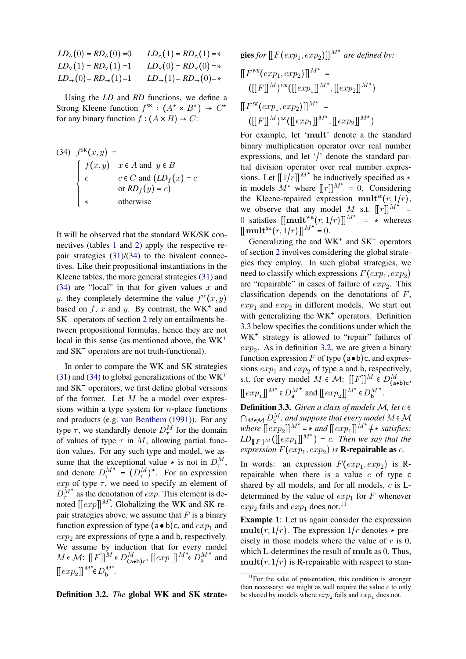| $LD_{\wedge}(0) = RD_{\wedge}(0) = 0$             | $LD_{\wedge}(1) = RD_{\wedge}(1) =$ *             |
|---------------------------------------------------|---------------------------------------------------|
| $LD_v(1) = RD_v(1) = 1$                           | $LD_v(0) = RD_v(0) = *$                           |
| $LD_{\rightarrow}(0)$ = $RD_{\rightarrow}(1)$ = 1 | $LD_{\rightarrow}(1)$ = $RD_{\rightarrow}(0)$ = * |

Using the *LD* and *RD* functions, we define a Strong Kleene function  $f^{SK} : (A^* \times B^*) \rightarrow C^*$ for any binary function  $f : (A \times B) \rightarrow C$ :

<span id="page-9-0"></span>(34) 
$$
f^{SK}(x, y) =
$$
  
\n
$$
\begin{cases}\nf(x, y) & x \in A \text{ and } y \in B \\
c & c \in C \text{ and } (LD_f(x) = c) \\
\ast & \text{otherwise}\n\end{cases}
$$

It will be observed that the standard WK/SK connectives (tables [1](#page-1-1) and [2\)](#page-1-2) apply the respective repair strategies [\(31\)](#page-8-1)/[\(34\)](#page-9-0) to the bivalent connectives. Like their propositional instantiations in the Kleene tables, the more general strategies [\(31\)](#page-8-1) and [\(34\)](#page-9-0) are "local" in that for given values  $x$  and y, they completely determine the value  $f^{\alpha}(x, y)$ based on  $f$ , x and y. By contrast, the WK<sup>+</sup> and SK<sup>-</sup> operators of section [2](#page-3-3) rely on entailments between propositional formulas, hence they are not local in this sense (as mentioned above, the WK and SK<sup>-</sup> operators are not truth-functional).

In order to compare the WK and SK strategies  $(31)$  and  $(34)$  to global generalizations of the WK<sup>+</sup> and SK<sup>-</sup> operators, we first define global versions of the former. Let  $M$  be a model over expressions within a type system for  $n$ -place functions and products (e.g. [van Benthem](#page-12-20) [\(1991\)](#page-12-20)). For any type  $\tau$ , we standardly denote  $D_{\tau}^M$  for the domain of values of type  $\tau$  in M, allowing partial function values. For any such type and model, we assume that the exceptional value  $*$  is not in  $D_{\tau}^{M}$ , and denote  $D_{\tau}^{M^*} = (D_{\tau}^M)^*$ . For an expression exp of type  $\tau$ , we need to specify an element of  $D_{\tau}^{\tilde{M}^*}$  as the denotation of  $exp$ . This element is denoted  $[[exp]]^{M^*}$ . Globalizing the WK and SK repair strategies above, we assume that  $F$  is a binary function expression of type  $(a \bullet b)c$ , and  $exp<sub>1</sub>$  and  $exp<sub>2</sub>$  are expressions of type a and b, respectively. We assume by induction that for every model  $M \in \mathcal{M}$ :  $\llbracket F \rrbracket ^{\widetilde{M}} \in D_{(\texttt{a}\bullet \texttt{b})\texttt{c}}^{M}, \; \llbracket exp_{1} \rrbracket ^{M^{*}} \in D_{\texttt{a}}^{M}$  $*$  and  $[\![exp_{\mathbf{2}}]\!]^{M^*}\!\!\in\!D_{\mathbf{b}}^{M}$ .

<span id="page-9-2"></span>Definition 3.2. *The* global WK and SK strate-

**gies** for 
$$
[[F(exp_1, exp_2)]]^{M^*}
$$
 are defined by:  
\n $[[F^{WK}(exp_1, exp_2)]]^{M^*} =$   
\n $([[F]]^M)^{wk}([[exp_1]]^{M^*}, [[exp_2]]^{M^*})$   
\n $[[F^{SK}(exp_1, exp_2)]]^{M^*} =$   
\n $([[F]]^M)^{SK}([[exp_1]]^{M^*}, [[exp_2]]^{M^*})$ 

For example, let 'mult' denote a the standard binary multiplication operator over real number expressions, and let  $\prime$  denote the standard partial division operator over real number expressions. Let  $[[1/r]]^{M^*}$  be inductively specified as  $*$ in models  $M^*$  where  $[[r]]^{M^*} = 0$ . Considering the Kleene-repaired expression mult<sup> $\alpha$ </sup> $(r, 1/r)$ , we observe that any model M s.t.  $\llbracket r \rrbracket^{M^*} =$ 0 satisfies  $[[\text{mult}_{\infty}^{\text{wk}}(r, 1/r)]]^{M^*} = \frac{d}{r}$  whereas  $[[\textbf{mult}^{SK}(r,1/r)]]^{M^*} = 0.$ 

Generalizing the and  $WK^+$  and  $SK^-$  operators of section [2](#page-3-3) involves considering the global strategies they employ. In such global strategies, we need to classify which expressions  $F(exp_1, exp_2)$ are "repairable" in cases of failure of  $exp<sub>2</sub>$ . This classification depends on the denotations of  $F$ ,  $exp<sub>1</sub>$  and  $exp<sub>2</sub>$  in different models. We start out with generalizing the  $WK<sup>+</sup>$  operators. Definition [3.3](#page-9-1) below specifies the conditions under which the WK<sup>+</sup> strategy is allowed to "repair" failures of  $exp<sub>2</sub>$ . As in definition [3.2,](#page-9-2) we are given a binary function expression F of type  $(a \bullet b)c$ , and expressions  $exp_1$  and  $exp_2$  of type a and b, respectively, s.t. for every model  $M \in \mathcal{M}$ :  $[[F]]^M \in D_{(a \bullet b)c}^M$ ,  $[\hspace{-1.5pt}[ \exp_{{\bf a}}\hspace{-1.5pt}] \hspace{-1.5pt}]^{M^*}\hspace{-1.5pt} \in\hspace{-1.5pt} D_{\bf a}^M$ \* and  $[[exp_2]]^{M^*} \in D_{\mathsf{b}}^M$ .

<span id="page-9-1"></span>**Definition 3.3.** Given a class of models  $M$ , let  $c \in$  $\bigcap_{M\in\mathcal{M}}D^M_{\mathsf{c}}$  , and suppose that every model  $M$   $\in\mathcal{M}$ where  $[[exp_2]]^{M^*} = \star$  and  $[[exp_1]]^{M^*} \neq \star$  satisfies:  $LD_{\text{F} \parallel M}$  ( $\text{F} \parallel \text{exp}_1 \parallel^{M^*}$ ) = c. Then we say that the *expression*  $F(exp_1, exp_2)$  *is* **R-repairable as** *c*.

In words: an expression  $F(exp_1, exp_2)$  is Rrepairable when there is a value  $c$  of type  $c$ shared by all models, and for all models, c is Ldetermined by the value of  $exp_1$  for F whenever  $exp_2$  fails and  $exp_1$  does not.<sup>[11](#page-9-3)</sup>

Example 1: Let us again consider the expression  $mult(r, 1/r)$ . The expression  $1/r$  denotes  $*$  precisely in those models where the value of  $r$  is 0, which L-determines the result of mult as 0. Thus,  $mult(r, 1/r)$  is R-repairable with respect to stan-

<span id="page-9-3"></span> $11$ For the sake of presentation, this condition is stronger than necessary: we might as well require the value  $c$  to only be shared by models where  $exp_2$  fails and  $exp_1$  does not.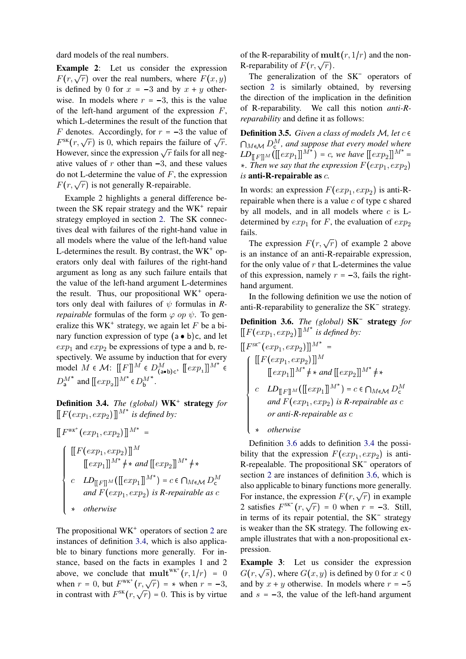dard models of the real numbers.

Example 2: Let us consider the expression  $F(r, \sqrt{r})$  over the real numbers, where  $F(x, y)$ is defined by 0 for  $x = -3$  and by  $x + y$  otherwise. In models where  $r = -3$ , this is the value of the left-hand argument of the expression  $F$ , which L-determines the result of the function that F denotes. Accordingly, for  $r = -3$  the value of  $F^{SK}(r, \sqrt{r})$  is 0, which repairs the failure of  $\sqrt{r}$ . However, since the expression  $\sqrt{r}$  fails for all negative values of  $r$  other than  $-3$ , and these values do not L-determine the value of  $F$ , the expression  $F(r, \sqrt{r})$  is not generally R-repairable.

Example 2 highlights a general difference between the SK repair strategy and the  $\text{WK}^+$  repair strategy employed in section [2.](#page-3-3) The SK connectives deal with failures of the right-hand value in all models where the value of the left-hand value L-determines the result. By contrast, the  $WK<sup>+</sup>$  operators only deal with failures of the right-hand argument as long as any such failure entails that the value of the left-hand argument L-determines the result. Thus, our propositional  $WK^+$  operators only deal with failures of  $\psi$  formulas in *Rrepairable* formulas of the form  $\varphi$  op  $\psi$ . To generalize this  $WK^+$  strategy, we again let F be a binary function expression of type  $(a \bullet b)c$ , and let  $exp<sub>1</sub>$  and  $exp<sub>2</sub>$  be expressions of type a and b, respectively. We assume by induction that for every model  $M \in \mathcal{M}$ :  $[[F]]^M \in D_{(a \bullet b)c}^M$ ,  $[[exp_1]]^{M^*} \in D_a^{M^*}$  and  $[[exp_2]]^{M^*} \in D_b^{M^*}$ . \* and  $\llbracket exp_2 \rrbracket^{M^*} \in D_{\mathsf{b}}^M$ .

<span id="page-10-0"></span>Definition 3.4. *The (global)* WK strategy *for*  $[[F(exp_1, exp_2)]]^{M^*}$  is defined by:

 $\sim$   $\sim$   $\sim$   $\sqrt{3}$ 

$$
\begin{aligned}\n\left[ F^{wK^+}(exp_1, exp_2) \right]^{M^*} &= \\
\left[ \begin{array}{c} \left[ \left[ F(exp_1, exp_2) \right] \right]^{M} \\
 \left[ exp_1 \right]^{M^*} \neq \ast \text{ and } \left[ \left[ exp_2 \right] \right]^{M^*} \neq \ast \n\end{array} \right] \\
c \quad LD_{\left[ \left[ F \right] \right]^{M}}(\left[ exp_1 \right]^{M^*}) = c \in \bigcap_{M \in \mathcal{M}} D_c^M \\
\text{and } F(exp_1, exp_2) \text{ is R-repairable as } c \\
\ast \quad otherwise\n\end{array}
$$

The propositional  $WK^+$  operators of section [2](#page-3-3) are instances of definition [3.4,](#page-10-0) which is also applicable to binary functions more generally. For instance, based on the facts in examples 1 and 2 above, we conclude that  $\text{mult}^{\text{wkt}^+}(r, 1/r) = 0$ when  $r = 0$ , but  $F<sup>WK<sup>+</sup></sup>(r, \sqrt{r}) = *$  when  $r = -3$ , in contrast with  $F^{SK}(r, \sqrt{r}) = 0$ . This is by virtue

of the R-reparability of  $mult(r, 1/r)$  and the non-R-reparability of  $F(r, \sqrt{r})$ .

The generalization of the SK<sup>-</sup> operators of section [2](#page-3-3) is similarly obtained, by reversing the direction of the implication in the definition of R-reparability. We call this notion *anti-Rreparability* and define it as follows:

**Definition 3.5.** Given a class of models  $M$ , let  $c \in$  $\bigcap_{M\in\mathcal{M}}D^M_{\mathsf{c}}$ , and suppose that every model where  $LD_{[[F]]^M}([exp_1]]^{M^*}) = c$ , we have  $[[exp_2]]^{M^*} =$  $\ast$ . Then we say that the expression  $F(exp_1, exp_2)$ *is* anti-R-repairable as c*.*

In words: an expression  $F(exp_1, exp_2)$  is anti-Rrepairable when there is a value  $c$  of type c shared by all models, and in all models where  $c$  is  $L$ determined by  $exp_1$  for F, the evaluation of  $exp_2$ fails.

The expression  $F(r, \sqrt{r})$  of example 2 above is an instance of an anti-R-repairable expression, for the only value of  $r$  that L-determines the value of this expression, namely  $r = -3$ , fails the righthand argument.

In the following definition we use the notion of anti-R-reparability to generalize the  $SK^-$  strategy.

<span id="page-10-1"></span>Definition 3.6. *The (global)* SK strategy *for*  $[[F(exp_1, exp_2)]]^{M^*}$  is defined by:

$$
\begin{aligned}\n\left[\left[F^{SK^-}(exp_1, exp_2)\right]\right]^{M^*} &= \\
\left[\left[F(exp_1, exp_2)\right]\right]^{M} \\
\left[exp_1\right]^{M^*} &+ \times \text{ and } \left[exp_2\right]\right]^{M^*} &+ \times \\
c \quad LD_{\left[[F]\right]^{M}}(\left[exp_1\right]^{M^*}) = c \in \bigcap_{M \in \mathcal{M}} D_{\mathsf{c}}^M \\
\text{ and } F(exp_1, exp_2) \text{ is R-repairable as } c \\
\text{ or anti-R-repairable as } c \\
\star \quad otherwise\n\end{aligned}
$$

*otherwise*

Definition [3.6](#page-10-1) adds to definition [3.4](#page-10-0) the possibility that the expression  $F(exp_1, exp_2)$  is anti-R-repealable. The propositional  $SK^-$  operators of section [2](#page-3-3) are instances of definition [3.6,](#page-10-1) which is also applicable to binary functions more generally. For instance, the expression  $F(r, \sqrt{r})$  in example 2 satisfies  $F^{SK}(r, \sqrt{r}) = 0$  when  $r = -3$ . Still, in terms of its repair potential, the SK<sup>-</sup> strategy is weaker than the SK strategy. The following example illustrates that with a non-propositional expression.

Example 3: Let us consider the expression  $G(r, \sqrt{s})$ , where  $G(x, y)$  is defined by 0 for  $x < 0$ and by  $x + y$  otherwise. In models where  $r = -5$ and  $s = -3$ , the value of the left-hand argument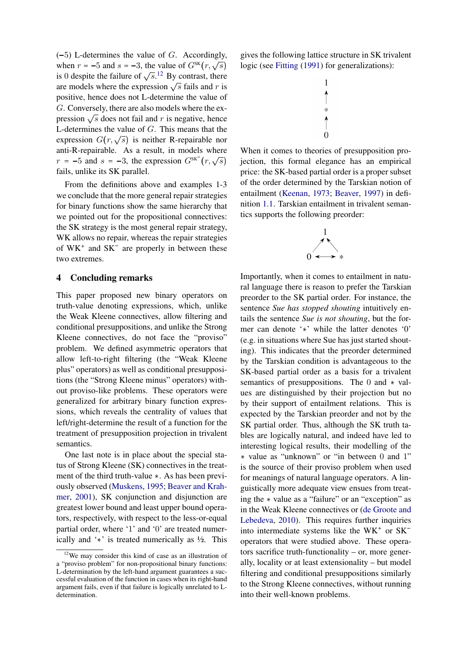$(-5)$  L-determines the value of G. Accordingly, when  $r = -5$  and  $s = -3$ , the value of  $G^{SK}(r, \sqrt{s})$ is 0 despite the failure of  $\sqrt{s}$ .<sup>[12](#page-11-0)</sup> By contrast, there are models where the expression  $\sqrt{s}$  fails and r is positive, hence does not L-determine the value of G. Conversely, there are also models where the expression  $\sqrt{s}$  does not fail and r is negative, hence L-determines the value of G. This means that the Expression  $G(r, \sqrt{s})$  is neither R-repairable nor anti-R-repairable. As a result, in models where  $r = -5$  and  $s = -3$ , the expression  $G^{SK^-}(r, \sqrt{s})$ fails, unlike its SK parallel.

From the definitions above and examples 1-3 we conclude that the more general repair strategies for binary functions show the same hierarchy that we pointed out for the propositional connectives: the SK strategy is the most general repair strategy, WK allows no repair, whereas the repair strategies of  $WK^+$  and  $SK^-$  are properly in between these two extremes.

### 4 Concluding remarks

This paper proposed new binary operators on truth-value denoting expressions, which, unlike the Weak Kleene connectives, allow filtering and conditional presuppositions, and unlike the Strong Kleene connectives, do not face the "proviso" problem. We defined asymmetric operators that allow left-to-right filtering (the "Weak Kleene plus" operators) as well as conditional presuppositions (the "Strong Kleene minus" operators) without proviso-like problems. These operators were generalized for arbitrary binary function expressions, which reveals the centrality of values that left/right-determine the result of a function for the treatment of presupposition projection in trivalent semantics.

One last note is in place about the special status of Strong Kleene (SK) connectives in the treatment of the third truth-value  $\star$ . As has been previously observed [\(Muskens,](#page-12-21) [1995;](#page-12-21) [Beaver and Krah](#page-12-5)[mer,](#page-12-5) [2001\)](#page-12-5), SK conjunction and disjunction are greatest lower bound and least upper bound operators, respectively, with respect to the less-or-equal partial order, where '1' and '0' are treated numerically and  $\dot{\cdot}$  is treated numerically as  $\frac{1}{2}$ . This

gives the following lattice structure in SK trivalent logic (see [Fitting](#page-12-22) [\(1991\)](#page-12-22) for generalizations):



When it comes to theories of presupposition projection, this formal elegance has an empirical price: the SK-based partial order is a proper subset of the order determined by the Tarskian notion of entailment [\(Keenan,](#page-12-1) [1973;](#page-12-1) [Beaver,](#page-12-2) [1997\)](#page-12-2) in definition [1.1.](#page-0-4) Tarskian entailment in trivalent semantics supports the following preorder:



Importantly, when it comes to entailment in natural language there is reason to prefer the Tarskian preorder to the SK partial order. For instance, the sentence *Sue has stopped shouting* intuitively entails the sentence *Sue is not shouting*, but the former can denote '\*' while the latter denotes '0' (e.g. in situations where Sue has just started shouting). This indicates that the preorder determined by the Tarskian condition is advantageous to the SK-based partial order as a basis for a trivalent semantics of presuppositions. The  $0$  and  $\ast$  values are distinguished by their projection but no by their support of entailment relations. This is expected by the Tarskian preorder and not by the SK partial order. Thus, although the SK truth tables are logically natural, and indeed have led to interesting logical results, their modelling of the value as "unknown" or "in between 0 and 1" is the source of their proviso problem when used for meanings of natural language operators. A linguistically more adequate view ensues from treating the  $\ast$  value as a "failure" or an "exception" as in the Weak Kleene connectives or [\(de Groote and](#page-12-19) [Lebedeva,](#page-12-19) [2010\)](#page-12-19). This requires further inquiries into intermediate systems like the  $WK^+$  or  $SK^$ operators that were studied above. These operators sacrifice truth-functionality – or, more generally, locality or at least extensionality – but model filtering and conditional presuppositions similarly to the Strong Kleene connectives, without running into their well-known problems.

<span id="page-11-0"></span><sup>12</sup>We may consider this kind of case as an illustration of a "proviso problem" for non-propositional binary functions: L-determination by the left-hand argument guarantees a successful evaluation of the function in cases when its right-hand argument fails, even if that failure is logically unrelated to Ldetermination.